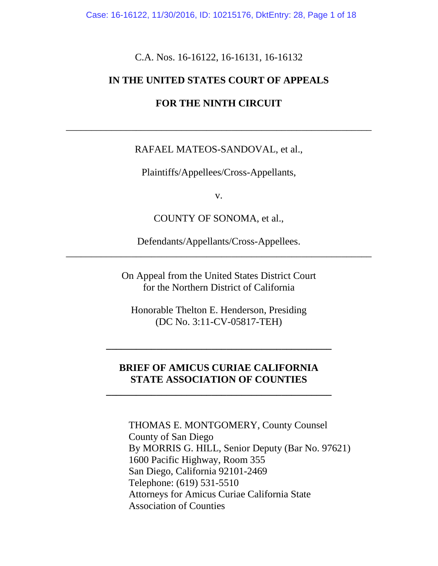Case: 16-16122, 11/30/2016, ID: 10215176, DktEntry: 28, Page 1 of 18

C.A. Nos. 16-16122, 16-16131, 16-16132

#### **IN THE UNITED STATES COURT OF APPEALS**

#### **FOR THE NINTH CIRCUIT**

#### RAFAEL MATEOS-SANDOVAL, et al.,

\_\_\_\_\_\_\_\_\_\_\_\_\_\_\_\_\_\_\_\_\_\_\_\_\_\_\_\_\_\_\_\_\_\_\_\_\_\_\_\_\_\_\_\_\_\_\_\_\_\_\_\_\_\_\_\_\_\_\_\_\_

Plaintiffs/Appellees/Cross-Appellants,

v.

COUNTY OF SONOMA, et al.,

Defendants/Appellants/Cross-Appellees. \_\_\_\_\_\_\_\_\_\_\_\_\_\_\_\_\_\_\_\_\_\_\_\_\_\_\_\_\_\_\_\_\_\_\_\_\_\_\_\_\_\_\_\_\_\_\_\_\_\_\_\_\_\_\_\_\_\_\_\_\_

> On Appeal from the United States District Court for the Northern District of California

Honorable Thelton E. Henderson, Presiding (DC No. 3:11-CV-05817-TEH)

**\_\_\_\_\_\_\_\_\_\_\_\_\_\_\_\_\_\_\_\_\_\_\_\_\_\_\_\_\_\_\_\_\_\_\_\_\_\_\_\_\_\_\_\_\_**

#### **BRIEF OF AMICUS CURIAE CALIFORNIA STATE ASSOCIATION OF COUNTIES**

**\_\_\_\_\_\_\_\_\_\_\_\_\_\_\_\_\_\_\_\_\_\_\_\_\_\_\_\_\_\_\_\_\_\_\_\_\_\_\_\_\_\_\_\_\_**

THOMAS E. MONTGOMERY, County Counsel County of San Diego By MORRIS G. HILL, Senior Deputy (Bar No. 97621) 1600 Pacific Highway, Room 355 San Diego, California 92101-2469 Telephone: (619) 531-5510 Attorneys for Amicus Curiae California State Association of Counties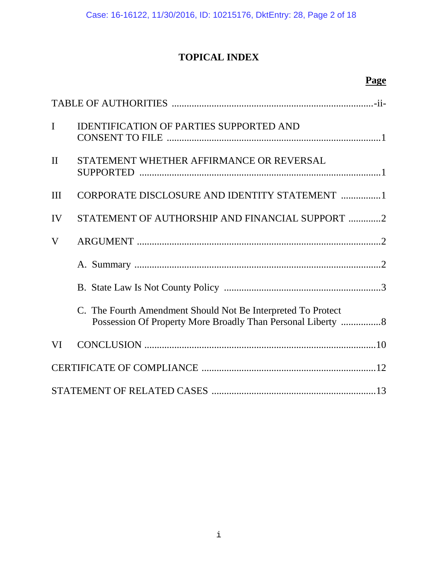# **TOPICAL INDEX**

# **Page**

| $\mathbf I$  | <b>IDENTIFICATION OF PARTIES SUPPORTED AND</b>                                                                              |  |
|--------------|-----------------------------------------------------------------------------------------------------------------------------|--|
| $\mathbf{I}$ | STATEMENT WHETHER AFFIRMANCE OR REVERSAL                                                                                    |  |
| Ш            | CORPORATE DISCLOSURE AND IDENTITY STATEMENT 1                                                                               |  |
| IV           | STATEMENT OF AUTHORSHIP AND FINANCIAL SUPPORT 2                                                                             |  |
| V            |                                                                                                                             |  |
|              |                                                                                                                             |  |
|              |                                                                                                                             |  |
|              | C. The Fourth Amendment Should Not Be Interpreted To Protect<br>Possession Of Property More Broadly Than Personal Liberty 8 |  |
| VI           |                                                                                                                             |  |
|              |                                                                                                                             |  |
|              |                                                                                                                             |  |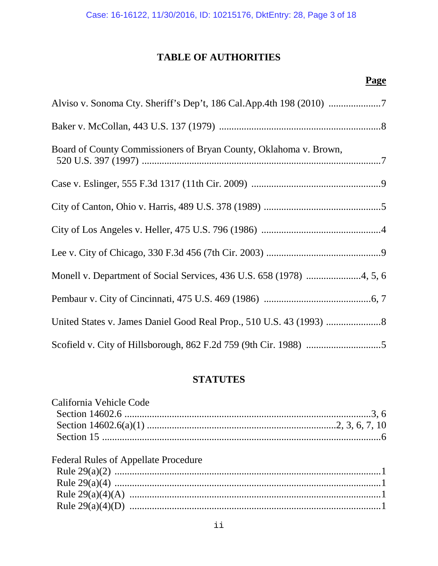### **TABLE OF AUTHORITIES**

## **Page**

| Board of County Commissioners of Bryan County, Oklahoma v. Brown, |  |  |
|-------------------------------------------------------------------|--|--|
|                                                                   |  |  |
|                                                                   |  |  |
|                                                                   |  |  |
|                                                                   |  |  |
|                                                                   |  |  |
|                                                                   |  |  |
|                                                                   |  |  |
|                                                                   |  |  |

### **STATUTES**

| California Vehicle Code                     |  |
|---------------------------------------------|--|
|                                             |  |
|                                             |  |
|                                             |  |
| <b>Federal Rules of Appellate Procedure</b> |  |
|                                             |  |
|                                             |  |
|                                             |  |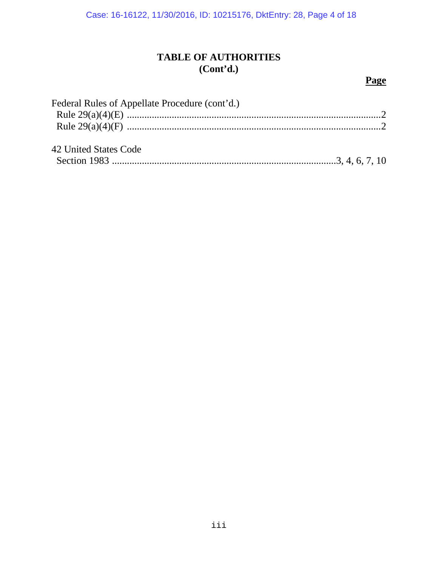## **TABLE OF AUTHORITIES (Cont'd.)**

### **Page**

| Federal Rules of Appellate Procedure (cont'd.) |  |
|------------------------------------------------|--|
|                                                |  |
|                                                |  |
| 42 United States Code                          |  |
|                                                |  |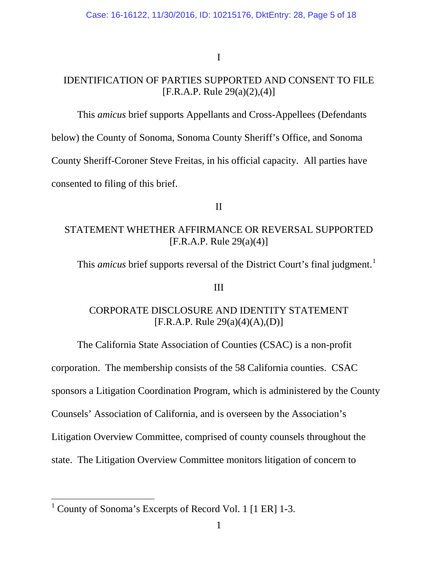I

## IDENTIFICATION OF PARTIES SUPPORTED AND CONSENT TO FILE [F.R.A.P. Rule 29(a)(2),(4)]

This *amicus* brief supports Appellants and Cross-Appellees (Defendants

below) the County of Sonoma, Sonoma County Sheriff's Office, and Sonoma

County Sheriff-Coroner Steve Freitas, in his official capacity. All parties have

consented to filing of this brief.

#### II

### STATEMENT WHETHER AFFIRMANCE OR REVERSAL SUPPORTED  $[F.R.A.P. Rule 29(a)(4)]$

This *amicus* brief supports reversal of the District Court's final judgment.<sup>[1](#page-4-0)</sup>

#### III

### CORPORATE DISCLOSURE AND IDENTITY STATEMENT [F.R.A.P. Rule 29(a)(4)(A),(D)]

The California State Association of Counties (CSAC) is a non-profit corporation. The membership consists of the 58 California counties. CSAC sponsors a Litigation Coordination Program, which is administered by the County Counsels' Association of California, and is overseen by the Association's Litigation Overview Committee, comprised of county counsels throughout the state. The Litigation Overview Committee monitors litigation of concern to

<span id="page-4-0"></span><sup>&</sup>lt;sup>1</sup> County of Sonoma's Excerpts of Record Vol. 1 [1 ER] 1-3.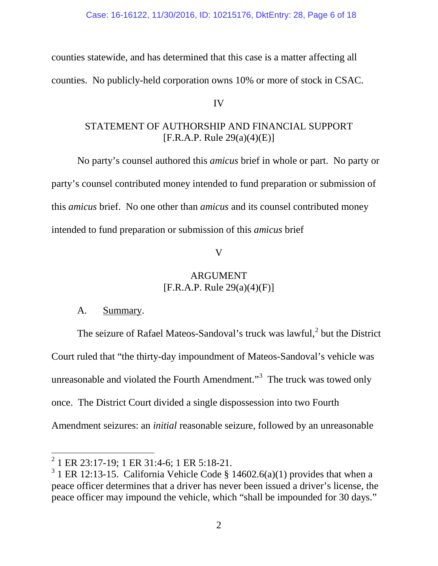counties statewide, and has determined that this case is a matter affecting all counties. No publicly-held corporation owns 10% or more of stock in CSAC.

#### IV

### STATEMENT OF AUTHORSHIP AND FINANCIAL SUPPORT [F.R.A.P. Rule 29(a)(4)(E)]

No party's counsel authored this *amicus* brief in whole or part. No party or party's counsel contributed money intended to fund preparation or submission of this *amicus* brief. No one other than *amicus* and its counsel contributed money intended to fund preparation or submission of this *amicus* brief

#### V

### ARGUMENT [F.R.A.P. Rule 29(a)(4)(F)]

### A. Summary.

The seizure of Rafael Mateos-Sandoval's truck was lawful,<sup>[2](#page-5-0)</sup> but the District Court ruled that "the thirty-day impoundment of Mateos-Sandoval's vehicle was unreasonable and violated the Fourth Amendment." $3$  The truck was towed only once. The District Court divided a single dispossession into two Fourth Amendment seizures: an *initial* reasonable seizure, followed by an unreasonable

<span id="page-5-0"></span> $^{2}$  1 ER 23:17-19; 1 ER 31:4-6; 1 ER 5:18-21.

<span id="page-5-1"></span> $3$  1 ER 12:13-15. California Vehicle Code § 14602.6(a)(1) provides that when a peace officer determines that a driver has never been issued a driver's license, the peace officer may impound the vehicle, which "shall be impounded for 30 days."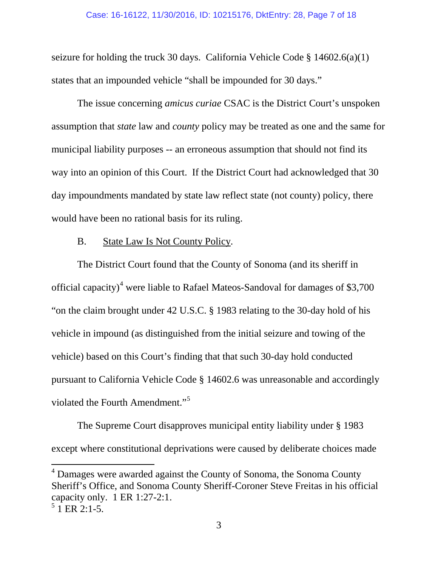#### Case: 16-16122, 11/30/2016, ID: 10215176, DktEntry: 28, Page 7 of 18

seizure for holding the truck 30 days. California Vehicle Code § 14602.6(a)(1) states that an impounded vehicle "shall be impounded for 30 days."

The issue concerning *amicus curiae* CSAC is the District Court's unspoken assumption that *state* law and *county* policy may be treated as one and the same for municipal liability purposes -- an erroneous assumption that should not find its way into an opinion of this Court. If the District Court had acknowledged that 30 day impoundments mandated by state law reflect state (not county) policy, there would have been no rational basis for its ruling.

#### B. State Law Is Not County Policy.

The District Court found that the County of Sonoma (and its sheriff in official capacity)<sup>[4](#page-6-0)</sup> were liable to Rafael Mateos-Sandoval for damages of \$3,700 "on the claim brought under 42 U.S.C. § 1983 relating to the 30-day hold of his vehicle in impound (as distinguished from the initial seizure and towing of the vehicle) based on this Court's finding that that such 30-day hold conducted pursuant to California Vehicle Code § 14602.6 was unreasonable and accordingly violated the Fourth Amendment."<sup>[5](#page-6-1)</sup>

The Supreme Court disapproves municipal entity liability under § 1983 except where constitutional deprivations were caused by deliberate choices made

<span id="page-6-0"></span><sup>&</sup>lt;sup>4</sup> Damages were awarded against the County of Sonoma, the Sonoma County Sheriff's Office, and Sonoma County Sheriff-Coroner Steve Freitas in his official capacity only. 1 ER 1:27-2:1.<br><sup>5</sup> 1 ER 2:1-5.

<span id="page-6-1"></span>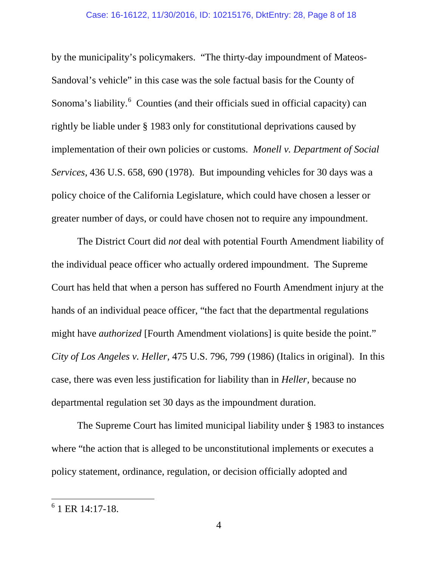by the municipality's policymakers. "The thirty-day impoundment of Mateos-Sandoval's vehicle" in this case was the sole factual basis for the County of Sonoma's liability.<sup>[6](#page-7-0)</sup> Counties (and their officials sued in official capacity) can rightly be liable under § 1983 only for constitutional deprivations caused by implementation of their own policies or customs. *Monell v. Department of Social Services,* 436 U.S. 658, 690 (1978). But impounding vehicles for 30 days was a policy choice of the California Legislature, which could have chosen a lesser or greater number of days, or could have chosen not to require any impoundment.

The District Court did *not* deal with potential Fourth Amendment liability of the individual peace officer who actually ordered impoundment. The Supreme Court has held that when a person has suffered no Fourth Amendment injury at the hands of an individual peace officer, "the fact that the departmental regulations might have *authorized* [Fourth Amendment violations] is quite beside the point." *City of Los Angeles v. Heller,* 475 U.S. 796, 799 (1986) (Italics in original). In this case, there was even less justification for liability than in *Heller,* because no departmental regulation set 30 days as the impoundment duration.

The Supreme Court has limited municipal liability under § 1983 to instances where "the action that is alleged to be unconstitutional implements or executes a policy statement, ordinance, regulation, or decision officially adopted and

<span id="page-7-0"></span> $6$  1 ER 14:17-18.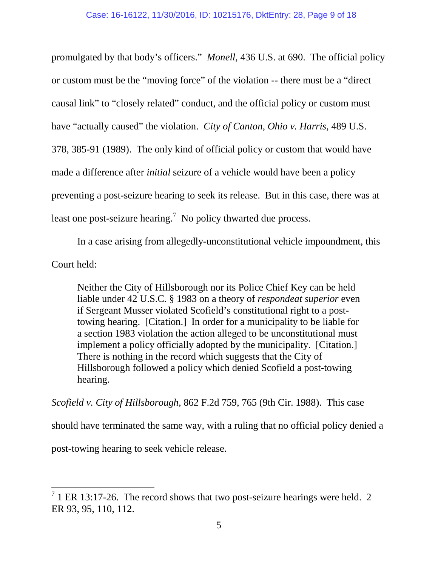promulgated by that body's officers." *Monell*, 436 U.S. at 690. The official policy or custom must be the "moving force" of the violation -- there must be a "direct causal link" to "closely related" conduct, and the official policy or custom must have "actually caused" the violation. *City of Canton, Ohio v. Harris,* 489 U.S. 378, 385-91 (1989). The only kind of official policy or custom that would have made a difference after *initial* seizure of a vehicle would have been a policy preventing a post-seizure hearing to seek its release. But in this case, there was at least one post-seizure hearing.<sup>[7](#page-8-0)</sup> No policy thwarted due process.

In a case arising from allegedly-unconstitutional vehicle impoundment, this Court held:

Neither the City of Hillsborough nor its Police Chief Key can be held liable under 42 U.S.C. § 1983 on a theory of *respondeat superior* even if Sergeant Musser violated Scofield's constitutional right to a posttowing hearing. [Citation.] In order for a municipality to be liable for a section 1983 violation the action alleged to be unconstitutional must implement a policy officially adopted by the municipality. [Citation.] There is nothing in the record which suggests that the City of Hillsborough followed a policy which denied Scofield a post-towing hearing.

*Scofield v. City of Hillsborough,* 862 F.2d 759, 765 (9th Cir. 1988). This case

should have terminated the same way, with a ruling that no official policy denied a

post-towing hearing to seek vehicle release.

<span id="page-8-0"></span> $7$  1 ER 13:17-26. The record shows that two post-seizure hearings were held. 2 ER 93, 95, 110, 112.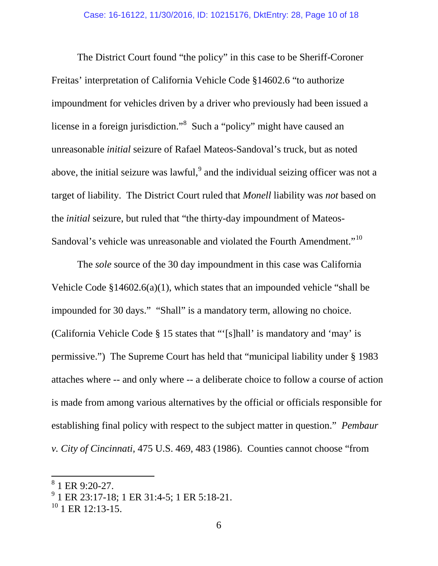The District Court found "the policy" in this case to be Sheriff-Coroner Freitas' interpretation of California Vehicle Code §14602.6 "to authorize impoundment for vehicles driven by a driver who previously had been issued a license in a foreign jurisdiction."<sup>[8](#page-9-0)</sup> Such a "policy" might have caused an unreasonable *initial* seizure of Rafael Mateos-Sandoval's truck, but as noted above, the initial seizure was lawful, $^{9}$  $^{9}$  $^{9}$  and the individual seizing officer was not a target of liability. The District Court ruled that *Monell* liability was *not* based on the *initial* seizure, but ruled that "the thirty-day impoundment of Mateos-Sandoval's vehicle was unreasonable and violated the Fourth Amendment."<sup>[10](#page-9-2)</sup>

The *sole* source of the 30 day impoundment in this case was California Vehicle Code §14602.6(a)(1), which states that an impounded vehicle "shall be impounded for 30 days." "Shall" is a mandatory term, allowing no choice. (California Vehicle Code § 15 states that "'[s]hall' is mandatory and 'may' is permissive.") The Supreme Court has held that "municipal liability under § 1983 attaches where -- and only where -- a deliberate choice to follow a course of action is made from among various alternatives by the official or officials responsible for establishing final policy with respect to the subject matter in question." *Pembaur v. City of Cincinnati,* 475 U.S. 469, 483 (1986). Counties cannot choose "from

<span id="page-9-0"></span><sup>1</sup> ER 9:20-27.

<span id="page-9-1"></span><sup>9</sup> 1 ER 23:17-18; 1 ER 31:4-5; 1 ER 5:18-21.

<span id="page-9-2"></span> $10$  1 ER 12:13-15.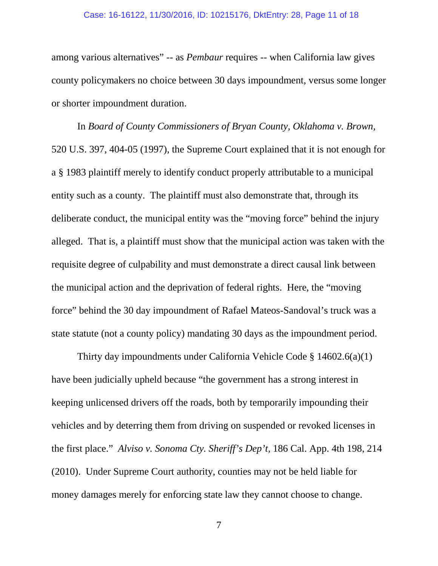#### Case: 16-16122, 11/30/2016, ID: 10215176, DktEntry: 28, Page 11 of 18

among various alternatives" -- as *Pembaur* requires -- when California law gives county policymakers no choice between 30 days impoundment, versus some longer or shorter impoundment duration.

In *Board of County Commissioners of Bryan County, Oklahoma v. Brown,* 520 U.S. 397, 404-05 (1997), the Supreme Court explained that it is not enough for a § 1983 plaintiff merely to identify conduct properly attributable to a municipal entity such as a county. The plaintiff must also demonstrate that, through its deliberate conduct, the municipal entity was the "moving force" behind the injury alleged. That is, a plaintiff must show that the municipal action was taken with the requisite degree of culpability and must demonstrate a direct causal link between the municipal action and the deprivation of federal rights. Here, the "moving force" behind the 30 day impoundment of Rafael Mateos-Sandoval's truck was a state statute (not a county policy) mandating 30 days as the impoundment period.

Thirty day impoundments under California Vehicle Code § 14602.6(a)(1) have been judicially upheld because "the government has a strong interest in keeping unlicensed drivers off the roads, both by temporarily impounding their vehicles and by deterring them from driving on suspended or revoked licenses in the first place." *Alviso v. Sonoma Cty. Sheriff's Dep't,* 186 Cal. App. 4th 198, 214 (2010). Under Supreme Court authority, counties may not be held liable for money damages merely for enforcing state law they cannot choose to change.

7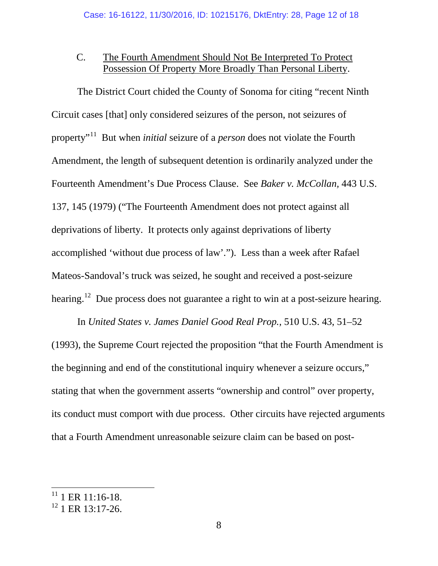## C. The Fourth Amendment Should Not Be Interpreted To Protect Possession Of Property More Broadly Than Personal Liberty.

The District Court chided the County of Sonoma for citing "recent Ninth Circuit cases [that] only considered seizures of the person, not seizures of property"[11](#page-11-0) But when *initial* seizure of a *person* does not violate the Fourth Amendment, the length of subsequent detention is ordinarily analyzed under the Fourteenth Amendment's Due Process Clause. See *Baker v. McCollan,* 443 U.S. 137, 145 (1979) ("The Fourteenth Amendment does not protect against all deprivations of liberty. It protects only against deprivations of liberty accomplished 'without due process of law'."). Less than a week after Rafael Mateos-Sandoval's truck was seized, he sought and received a post-seizure hearing.<sup>[12](#page-11-1)</sup> Due process does not guarantee a right to win at a post-seizure hearing.

In *United States v. James Daniel Good Real Prop.,* 510 U.S. 43, 51–52 (1993), the Supreme Court rejected the proposition "that the Fourth Amendment is the beginning and end of the constitutional inquiry whenever a seizure occurs," stating that when the government asserts "ownership and control" over property, its conduct must comport with due process. Other circuits have rejected arguments that a Fourth Amendment unreasonable seizure claim can be based on post-

<span id="page-11-0"></span> $11$  1 ER 11:16-18.

<span id="page-11-1"></span><sup>&</sup>lt;sup>12</sup> 1 ER 13:17-26.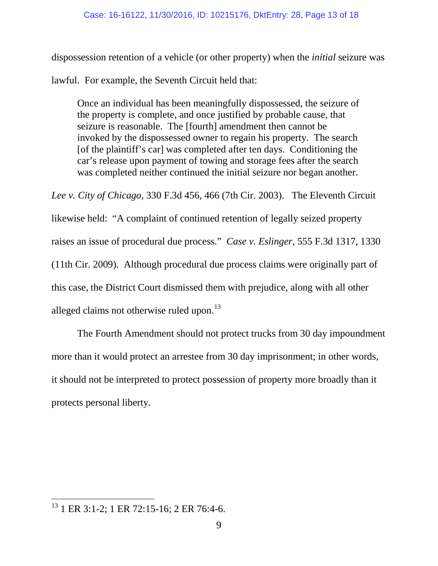dispossession retention of a vehicle (or other property) when the *initial* seizure was

lawful. For example, the Seventh Circuit held that:

Once an individual has been meaningfully dispossessed, the seizure of the property is complete, and once justified by probable cause, that seizure is reasonable. The [fourth] amendment then cannot be invoked by the dispossessed owner to regain his property. The search [of the plaintiff's car] was completed after ten days. Conditioning the car's release upon payment of towing and storage fees after the search was completed neither continued the initial seizure nor began another.

*Lee v. City of Chicago,* 330 F.3d 456, 466 (7th Cir. 2003). The Eleventh Circuit likewise held: "A complaint of continued retention of legally seized property raises an issue of procedural due process." *Case v. Eslinger,* 555 F.3d 1317, 1330 (11th Cir. 2009). Although procedural due process claims were originally part of this case, the District Court dismissed them with prejudice, along with all other alleged claims not otherwise ruled upon.<sup>[13](#page-12-0)</sup>

The Fourth Amendment should not protect trucks from 30 day impoundment more than it would protect an arrestee from 30 day imprisonment; in other words, it should not be interpreted to protect possession of property more broadly than it protects personal liberty.

<span id="page-12-0"></span><sup>&</sup>lt;sup>13</sup> 1 ER 3:1-2; 1 ER 72:15-16; 2 ER 76:4-6.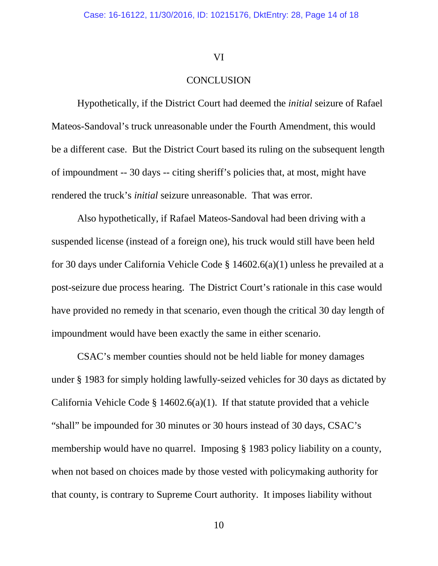#### VI

#### **CONCLUSION**

Hypothetically, if the District Court had deemed the *initial* seizure of Rafael Mateos-Sandoval's truck unreasonable under the Fourth Amendment, this would be a different case. But the District Court based its ruling on the subsequent length of impoundment -- 30 days -- citing sheriff's policies that, at most, might have rendered the truck's *initial* seizure unreasonable. That was error.

Also hypothetically, if Rafael Mateos-Sandoval had been driving with a suspended license (instead of a foreign one), his truck would still have been held for 30 days under California Vehicle Code § 14602.6(a)(1) unless he prevailed at a post-seizure due process hearing. The District Court's rationale in this case would have provided no remedy in that scenario, even though the critical 30 day length of impoundment would have been exactly the same in either scenario.

CSAC's member counties should not be held liable for money damages under § 1983 for simply holding lawfully-seized vehicles for 30 days as dictated by California Vehicle Code  $\S$  14602.6(a)(1). If that statute provided that a vehicle "shall" be impounded for 30 minutes or 30 hours instead of 30 days, CSAC's membership would have no quarrel. Imposing § 1983 policy liability on a county, when not based on choices made by those vested with policymaking authority for that county, is contrary to Supreme Court authority. It imposes liability without

10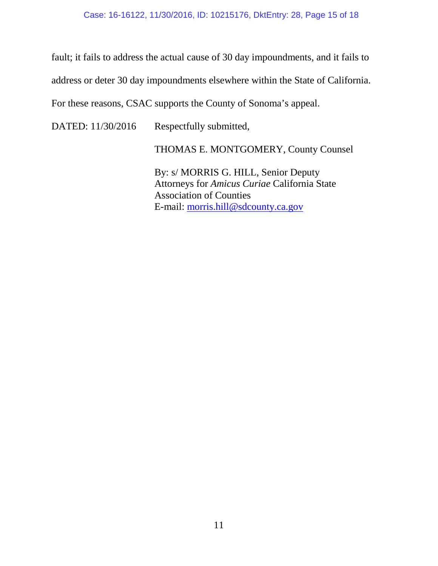fault; it fails to address the actual cause of 30 day impoundments, and it fails to address or deter 30 day impoundments elsewhere within the State of California.

For these reasons, CSAC supports the County of Sonoma's appeal.

DATED: 11/30/2016 Respectfully submitted,

THOMAS E. MONTGOMERY, County Counsel

By: s/ MORRIS G. HILL, Senior Deputy Attorneys for *Amicus Curiae* California State Association of Counties E-mail: [morris.hill@sdcounty.ca.gov](mailto:morris.hill@sdcounty.ca.gov)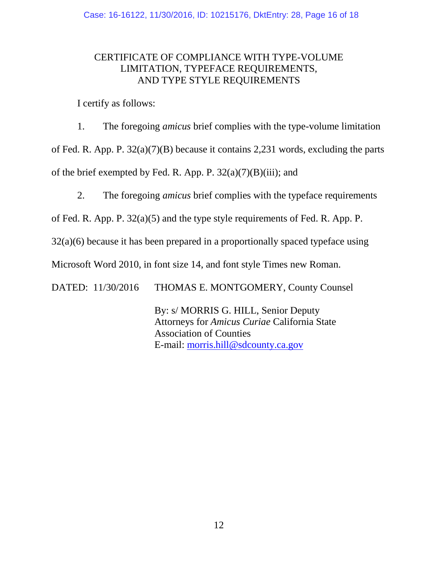### CERTIFICATE OF COMPLIANCE WITH TYPE-VOLUME LIMITATION, TYPEFACE REQUIREMENTS, AND TYPE STYLE REQUIREMENTS

I certify as follows:

1. The foregoing *amicus* brief complies with the type-volume limitation of Fed. R. App. P. 32(a)(7)(B) because it contains 2,231 words, excluding the parts of the brief exempted by Fed. R. App. P.  $32(a)(7)(B)(iii)$ ; and

2. The foregoing *amicus* brief complies with the typeface requirements

of Fed. R. App. P. 32(a)(5) and the type style requirements of Fed. R. App. P.

32(a)(6) because it has been prepared in a proportionally spaced typeface using

Microsoft Word 2010, in font size 14, and font style Times new Roman.

DATED: 11/30/2016 THOMAS E. MONTGOMERY, County Counsel

By: s/ MORRIS G. HILL, Senior Deputy Attorneys for *Amicus Curiae* California State Association of Counties E-mail: [morris.hill@sdcounty.ca.gov](mailto:morris.hill@sdcounty.ca.gov)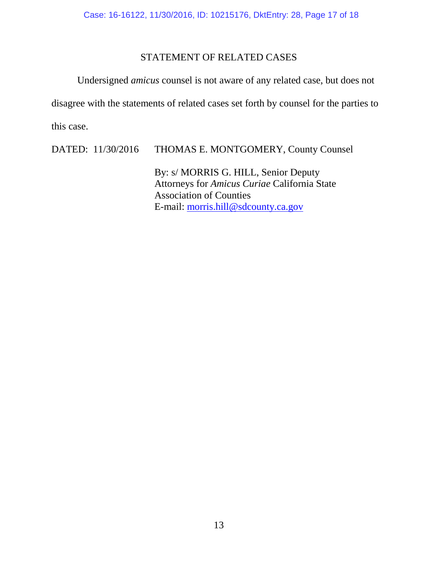### STATEMENT OF RELATED CASES

Undersigned *amicus* counsel is not aware of any related case, but does not disagree with the statements of related cases set forth by counsel for the parties to this case.

DATED: 11/30/2016 THOMAS E. MONTGOMERY, County Counsel

By: s/ MORRIS G. HILL, Senior Deputy Attorneys for *Amicus Curiae* California State Association of Counties E-mail: [morris.hill@sdcounty.ca.gov](mailto:morris.hill@sdcounty.ca.gov)